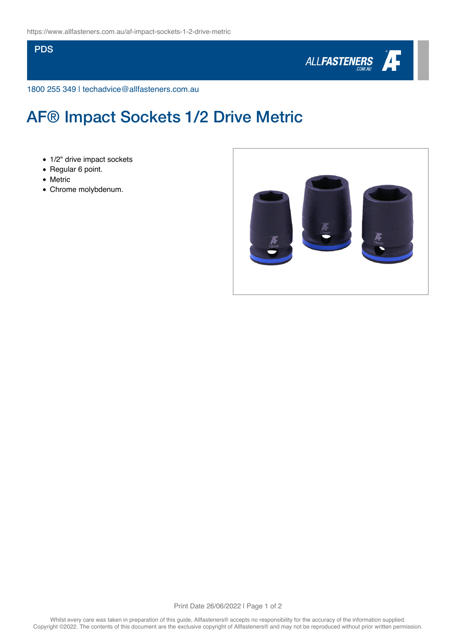## **PDS**



1800 255 349 | techadvice@allfasteners.com.au

## AF® Impact Sockets 1/2 Drive Metric

- 1/2" drive impact sockets
- Regular 6 point.
- Metric
- Chrome molybdenum.